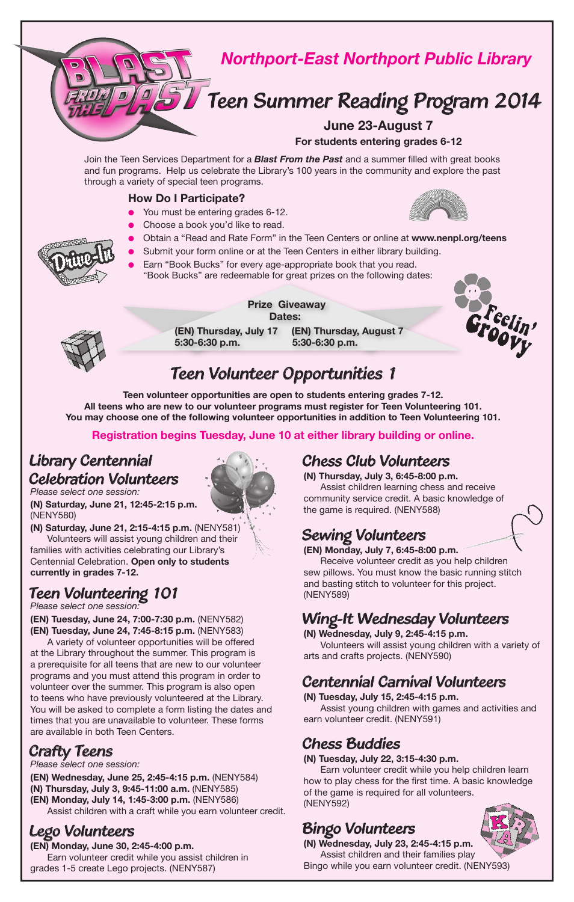

### *Teen Volunteer Opportunities 1*

**Teen volunteer opportunities are open to students entering grades 7-12. All teens who are new to our volunteer programs must register for Teen Volunteering 101. You may choose one of the following volunteer opportunities in addition to Teen Volunteering 101.** 

#### **Registration begins Tuesday, June 10 at either library building or online.**

#### *Library Centennial Celebration Volunteers*

*Please select one session:*

**(N) Saturday, June 21, 12:45-2:15 p.m.**  (NENY580)

**(N) Saturday, June 21, 2:15-4:15 p.m.** (NENY581) Volunteers will assist young children and their families with activities celebrating our Library's Centennial Celebration. **Open only to students currently in grades 7-12.**

#### *Teen Volunteering 101*

*Please select one session:*

**(EN) Tuesday, June 24, 7:00-7:30 p.m.** (NENY582) **(EN) Tuesday, June 24, 7:45-8:15 p.m.** (NENY583)

A variety of volunteer opportunities will be offered at the Library throughout the summer. This program is a prerequisite for all teens that are new to our volunteer programs and you must attend this program in order to volunteer over the summer. This program is also open to teens who have previously volunteered at the Library. You will be asked to complete a form listing the dates and times that you are unavailable to volunteer. These forms are available in both Teen Centers.

#### *Crafty Teens*

*Please select one session:*

**(EN) Wednesday, June 25, 2:45-4:15 p.m.** (NENY584) **(N) Thursday, July 3, 9:45-11:00 a.m.** (NENY585) **(EN) Monday, July 14, 1:45-3:00 p.m.** (NENY586) Assist children with a craft while you earn volunteer credit.

### *Lego Volunteers*

**(EN) Monday, June 30, 2:45-4:00 p.m.** Earn volunteer credit while you assist children in grades 1-5 create Lego projects. (NENY587)

#### *Chess Club Volunteers*

**(N) Thursday, July 3, 6:45-8:00 p.m.** Assist children learning chess and receive community service credit. A basic knowledge of the game is required. (NENY588)

#### *Sewing Volunteers*

**(EN) Monday, July 7, 6:45-8:00 p.m.**

Receive volunteer credit as you help children sew pillows. You must know the basic running stitch and basting stitch to volunteer for this project. (NENY589)

#### *Wing-It Wednesday Volunteers*

**(N) Wednesday, July 9, 2:45-4:15 p.m.**

Volunteers will assist young children with a variety of arts and crafts projects. (NENY590)

#### *Centennial Carnival Volunteers*

**(N) Tuesday, July 15, 2:45-4:15 p.m.** Assist young children with games and activities and earn volunteer credit. (NENY591)

### *Chess Buddies*

**(N) Tuesday, July 22, 3:15-4:30 p.m.**

Earn volunteer credit while you help children learn how to play chess for the first time. A basic knowledge of the game is required for all volunteers. (NENY592)

#### *Bingo Volunteers*



**(N) Wednesday, July 23, 2:45-4:15 p.m.** Assist children and their families play Bingo while you earn volunteer credit. (NENY593)